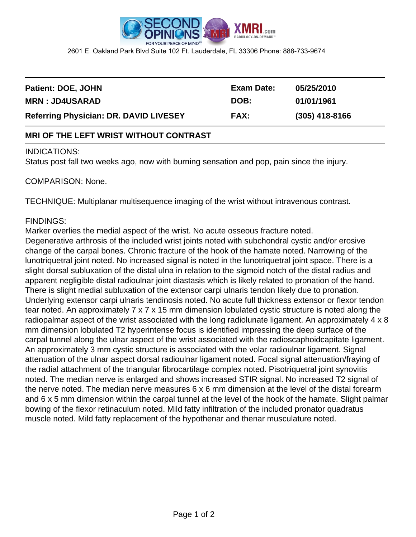

2601 E. Oakland Park Blvd Suite 102 Ft. Lauderdale, FL 33306 Phone: 888-733-9674

| <b>Referring Physician: DR. DAVID LIVESEY</b> | <b>FAX:</b> | $(305)$ 418-8166 |  |
|-----------------------------------------------|-------------|------------------|--|
| <b>MRN: JD4USARAD</b>                         | DOB:        | 01/01/1961       |  |
| <b>Patient: DOE, JOHN</b>                     | Exam Date:  | 05/25/2010       |  |
|                                               |             |                  |  |

## **MRI OF THE LEFT WRIST WITHOUT CONTRAST**

## INDICATIONS:

Status post fall two weeks ago, now with burning sensation and pop, pain since the injury.

## COMPARISON: None.

TECHNIQUE: Multiplanar multisequence imaging of the wrist without intravenous contrast.

## FINDINGS:

Marker overlies the medial aspect of the wrist. No acute osseous fracture noted. Degenerative arthrosis of the included wrist joints noted with subchondral cystic and/or erosive change of the carpal bones. Chronic fracture of the hook of the hamate noted. Narrowing of the lunotriquetral joint noted. No increased signal is noted in the lunotriquetral joint space. There is a slight dorsal subluxation of the distal ulna in relation to the sigmoid notch of the distal radius and apparent negligible distal radioulnar joint diastasis which is likely related to pronation of the hand. There is slight medial subluxation of the extensor carpi ulnaris tendon likely due to pronation. Underlying extensor carpi ulnaris tendinosis noted. No acute full thickness extensor or flexor tendon tear noted. An approximately 7 x 7 x 15 mm dimension lobulated cystic structure is noted along the radiopalmar aspect of the wrist associated with the long radiolunate ligament. An approximately 4 x 8 mm dimension lobulated T2 hyperintense focus is identified impressing the deep surface of the carpal tunnel along the ulnar aspect of the wrist associated with the radioscaphoidcapitate ligament. An approximately 3 mm cystic structure is associated with the volar radioulnar ligament. Signal attenuation of the ulnar aspect dorsal radioulnar ligament noted. Focal signal attenuation/fraying of the radial attachment of the triangular fibrocartilage complex noted. Pisotriquetral joint synovitis noted. The median nerve is enlarged and shows increased STIR signal. No increased T2 signal of the nerve noted. The median nerve measures 6 x 6 mm dimension at the level of the distal forearm and 6 x 5 mm dimension within the carpal tunnel at the level of the hook of the hamate. Slight palmar bowing of the flexor retinaculum noted. Mild fatty infiltration of the included pronator quadratus muscle noted. Mild fatty replacement of the hypothenar and thenar musculature noted.